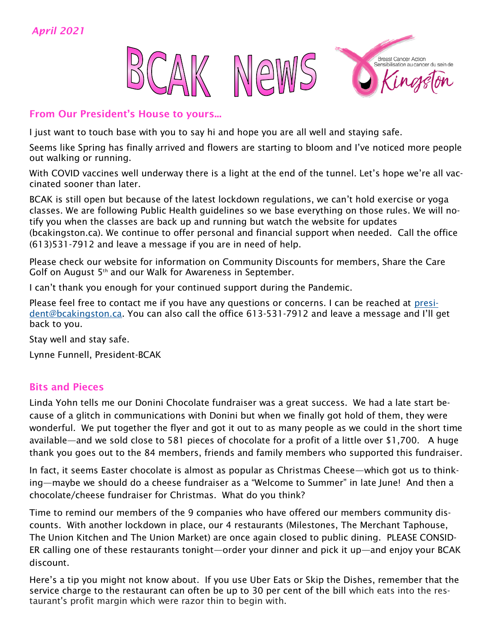

#### From Our President's House to yours...

I just want to touch base with you to say hi and hope you are all well and staying safe.

Seems like Spring has finally arrived and flowers are starting to bloom and I've noticed more people out walking or running.

With COVID vaccines well underway there is a light at the end of the tunnel. Let's hope we're all vaccinated sooner than later.

BCAK is still open but because of the latest lockdown regulations, we can't hold exercise or yoga classes. We are following Public Health guidelines so we base everything on those rules. We will notify you when the classes are back up and running but watch the website for updates (bcakingston.ca). We continue to offer personal and financial support when needed. Call the office (613)531-7912 and leave a message if you are in need of help.

Please check our website for information on Community Discounts for members, Share the Care Golf on August 5th and our Walk for Awareness in September.

I can't thank you enough for your continued support during the Pandemic.

Please feel free to contact me if you have any questions or concerns. I can be reached at [presi](mailto:president@bcakingston.ca)[dent@bcakingston.ca.](mailto:president@bcakingston.ca) You can also call the office 613-531-7912 and leave a message and I'll get back to you.

Stay well and stay safe.

Lynne Funnell, President-BCAK

### Bits and Pieces

Linda Yohn tells me our Donini Chocolate fundraiser was a great success. We had a late start because of a glitch in communications with Donini but when we finally got hold of them, they were wonderful. We put together the flyer and got it out to as many people as we could in the short time available—and we sold close to 581 pieces of chocolate for a profit of a little over \$1,700. A huge thank you goes out to the 84 members, friends and family members who supported this fundraiser.

In fact, it seems Easter chocolate is almost as popular as Christmas Cheese—which got us to thinking—maybe we should do a cheese fundraiser as a "Welcome to Summer" in late June! And then a chocolate/cheese fundraiser for Christmas. What do you think?

Time to remind our members of the 9 companies who have offered our members community discounts. With another lockdown in place, our 4 restaurants (Milestones, The Merchant Taphouse, The Union Kitchen and The Union Market) are once again closed to public dining. PLEASE CONSID-ER calling one of these restaurants tonight—order your dinner and pick it up—and enjoy your BCAK discount.

Here's a tip you might not know about. If you use Uber Eats or Skip the Dishes, remember that the service charge to the restaurant can often be up to 30 per cent of the bill which eats into the restaurant's profit margin which were razor thin to begin with.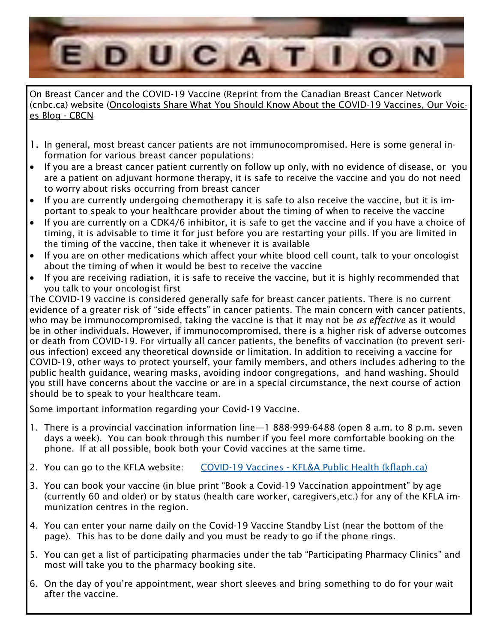

On Breast Cancer and the COVID-19 Vaccine (Reprint from the Canadian Breast Cancer Network (cnbc.ca) website [\(Oncologists Share What You Should Know About the COVID-19 Vaccines, Our Voic](https://www.cbcn.ca/en/blog/our-stories/oncologists-covid-vaccine)[es Blog -](https://www.cbcn.ca/en/blog/our-stories/oncologists-covid-vaccine) CBCN

- 1. In general, most breast cancer patients are not immunocompromised. Here is some general information for various breast cancer populations:
- If you are a breast cancer patient currently on follow up only, with no evidence of disease, or you are a patient on adjuvant hormone therapy, it is safe to receive the vaccine and you do not need to worry about risks occurring from breast cancer
- If you are currently undergoing chemotherapy it is safe to also receive the vaccine, but it is important to speak to your healthcare provider about the timing of when to receive the vaccine
- If you are currently on a CDK4/6 inhibitor, it is safe to get the vaccine and if you have a choice of timing, it is advisable to time it for just before you are restarting your pills. If you are limited in the timing of the vaccine, then take it whenever it is available
- If you are on other medications which affect your white blood cell count, talk to your oncologist about the timing of when it would be best to receive the vaccine
- If you are receiving radiation, it is safe to receive the vaccine, but it is highly recommended that you talk to your oncologist first

The COVID-19 vaccine is considered generally safe for breast cancer patients. There is no current evidence of a greater risk of "side effects" in cancer patients. The main concern with cancer patients, who may be immunocompromised, taking the vaccine is that it may not be *as effective* as it would be in other individuals. However, if immunocompromised, there is a higher risk of adverse outcomes or death from COVID-19. For virtually all cancer patients, the benefits of vaccination (to prevent serious infection) exceed any theoretical downside or limitation. In addition to receiving a vaccine for COVID-19, other ways to protect yourself, your family members, and others includes adhering to the public health guidance, wearing masks, avoiding indoor congregations, and hand washing. Should you still have concerns about the vaccine or are in a special circumstance, the next course of action should be to speak to your healthcare team.

Some important information regarding your Covid-19 Vaccine.

- 1. There is a provincial vaccination information line—1 888-999-6488 (open 8 a.m. to 8 p.m. seven days a week). You can book through this number if you feel more comfortable booking on the phone. If at all possible, book both your Covid vaccines at the same time.
- 2. You can go to the KFLA website: COVID-19 Vaccines [KFL&A Public Health \(kflaph.ca\)](https://www.kflaph.ca/en/healthy-living/covid-19-vaccine.aspx)
- 3. You can book your vaccine (in blue print "Book a Covid-19 Vaccination appointment" by age (currently 60 and older) or by status (health care worker, caregivers,etc.) for any of the KFLA immunization centres in the region.
- 4. You can enter your name daily on the Covid-19 Vaccine Standby List (near the bottom of the page). This has to be done daily and you must be ready to go if the phone rings.
- 5. You can get a list of participating pharmacies under the tab "Participating Pharmacy Clinics" and most will take you to the pharmacy booking site.
- 6. On the day of you're appointment, wear short sleeves and bring something to do for your wait after the vaccine.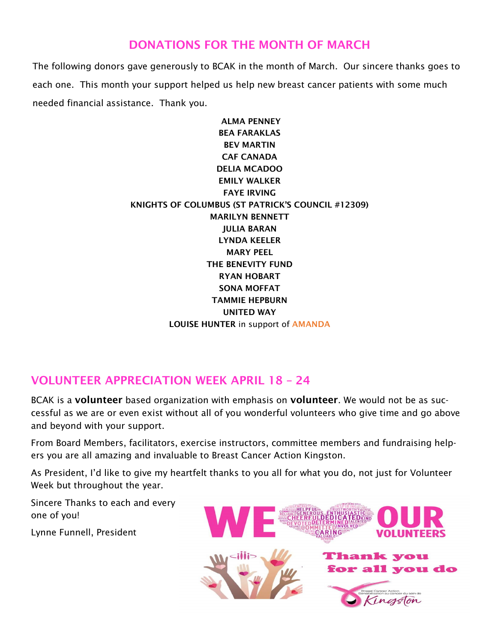## DONATIONS FOR THE MONTH OF MARCH

The following donors gave generously to BCAK in the month of March. Our sincere thanks goes to each one. This month your support helped us help new breast cancer patients with some much needed financial assistance. Thank you.

> ALMA PENNEY BEA FARAKLAS BEV MARTIN CAF CANADA DELIA MCADOO EMILY WALKER FAYE IRVING KNIGHTS OF COLUMBUS (ST PATRICK'S COUNCIL #12309) MARILYN BENNETT JULIA BARAN LYNDA KEELER MARY PEEL THE BENEVITY FUND RYAN HOBART SONA MOFFAT TAMMIE HEPBURN UNITED WAY LOUISE HUNTER in support of AMANDA

## VOLUNTEER APPRECIATION WEEK APRIL 18 – 24

BCAK is a volunteer based organization with emphasis on volunteer. We would not be as successful as we are or even exist without all of you wonderful volunteers who give time and go above and beyond with your support.

From Board Members, facilitators, exercise instructors, committee members and fundraising helpers you are all amazing and invaluable to Breast Cancer Action Kingston.

As President, I'd like to give my heartfelt thanks to you all for what you do, not just for Volunteer Week but throughout the year.

Sincere Thanks to each and every one of you!

Lynne Funnell, President

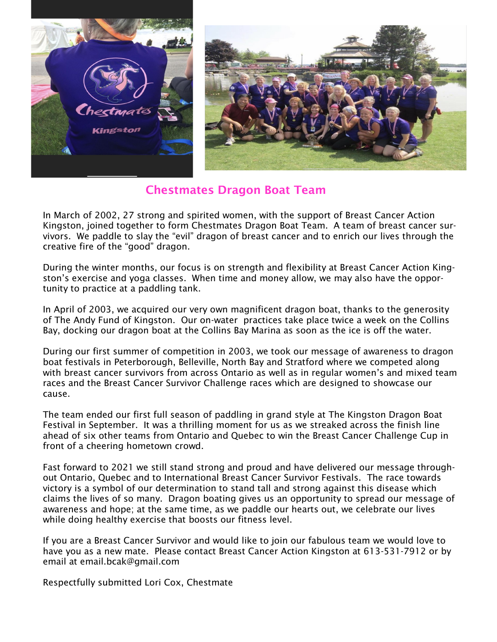

#### Chestmates Dragon Boat Team

In March of 2002, 27 strong and spirited women, with the support of Breast Cancer Action Kingston, joined together to form Chestmates Dragon Boat Team. A team of breast cancer survivors. We paddle to slay the "evil" dragon of breast cancer and to enrich our lives through the creative fire of the "good" dragon.

During the winter months, our focus is on strength and flexibility at Breast Cancer Action Kingston's exercise and yoga classes. When time and money allow, we may also have the opportunity to practice at a paddling tank.

In April of 2003, we acquired our very own magnificent dragon boat, thanks to the generosity of The Andy Fund of Kingston. Our on-water practices take place twice a week on the Collins Bay, docking our dragon boat at the Collins Bay Marina as soon as the ice is off the water.

During our first summer of competition in 2003, we took our message of awareness to dragon boat festivals in Peterborough, Belleville, North Bay and Stratford where we competed along with breast cancer survivors from across Ontario as well as in regular women's and mixed team races and the Breast Cancer Survivor Challenge races which are designed to showcase our cause.

The team ended our first full season of paddling in grand style at The Kingston Dragon Boat Festival in September. It was a thrilling moment for us as we streaked across the finish line ahead of six other teams from Ontario and Quebec to win the Breast Cancer Challenge Cup in front of a cheering hometown crowd.

Fast forward to 2021 we still stand strong and proud and have delivered our message throughout Ontario, Quebec and to International Breast Cancer Survivor Festivals. The race towards victory is a symbol of our determination to stand tall and strong against this disease which claims the lives of so many. Dragon boating gives us an opportunity to spread our message of awareness and hope; at the same time, as we paddle our hearts out, we celebrate our lives while doing healthy exercise that boosts our fitness level.

If you are a Breast Cancer Survivor and would like to join our fabulous team we would love to have you as a new mate. Please contact Breast Cancer Action Kingston at 613-531-7912 or by email at email.bcak@gmail.com

Respectfully submitted Lori Cox, Chestmate